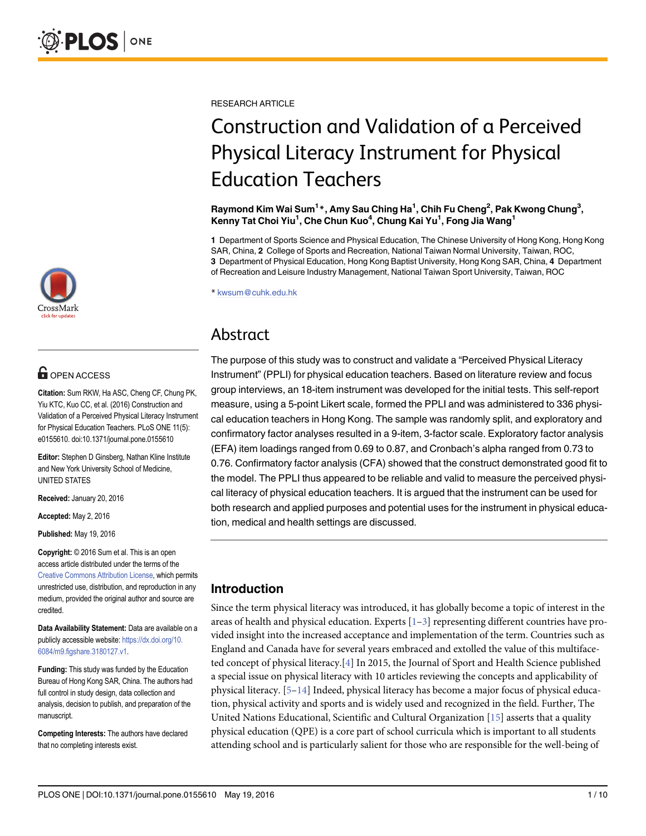

# **G** OPEN ACCESS

Citation: Sum RKW, Ha ASC, Cheng CF, Chung PK, Yiu KTC, Kuo CC, et al. (2016) Construction and Validation of a Perceived Physical Literacy Instrument for Physical Education Teachers. PLoS ONE 11(5): e0155610. doi:10.1371/journal.pone.0155610

Editor: Stephen D Ginsberg, Nathan Kline Institute and New York University School of Medicine, UNITED STATES

Received: January 20, 2016

Accepted: May 2, 2016

Published: May 19, 2016

Copyright: © 2016 Sum et al. This is an open access article distributed under the terms of the [Creative Commons Attribution License,](http://creativecommons.org/licenses/by/4.0/) which permits unrestricted use, distribution, and reproduction in any medium, provided the original author and source are credited.

Data Availability Statement: Data are available on a publicly accessible website: [https://dx.doi.org/10.](https://dx.doi.org/10.6084/m9.figshare.3180127.v1) [6084/m9.figshare.3180127.v1](https://dx.doi.org/10.6084/m9.figshare.3180127.v1).

Funding: This study was funded by the Education Bureau of Hong Kong SAR, China. The authors had full control in study design, data collection and analysis, decision to publish, and preparation of the manuscript.

Competing Interests: The authors have declared that no completing interests exist.

<span id="page-0-0"></span>RESEARCH ARTICLE

# Construction and Validation of a Perceived Physical Literacy Instrument for Physical Education Teachers

Raymond Kim Wai Sum $^{1\ast}$ , Amy Sau Ching Ha $^{1}$ , Chih Fu Cheng $^{2}$ , Pak Kwong Chung $^{3},$ Kenny Tat Choi Yiu<sup>1</sup>, Che Chun Kuo<sup>4</sup>, Chung Kai Yu<sup>1</sup>, Fong Jia Wang<sup>1</sup>

1 Department of Sports Science and Physical Education, The Chinese University of Hong Kong, Hong Kong SAR, China, 2 College of Sports and Recreation, National Taiwan Normal University, Taiwan, ROC, 3 Department of Physical Education, Hong Kong Baptist University, Hong Kong SAR, China, 4 Department of Recreation and Leisure Industry Management, National Taiwan Sport University, Taiwan, ROC

\* kwsum@cuhk.edu.hk

# Abstract

The purpose of this study was to construct and validate a "Perceived Physical Literacy Instrument" (PPLI) for physical education teachers. Based on literature review and focus group interviews, an 18-item instrument was developed for the initial tests. This self-report measure, using a 5-point Likert scale, formed the PPLI and was administered to 336 physical education teachers in Hong Kong. The sample was randomly split, and exploratory and confirmatory factor analyses resulted in a 9-item, 3-factor scale. Exploratory factor analysis (EFA) item loadings ranged from 0.69 to 0.87, and Cronbach's alpha ranged from 0.73 to 0.76. Confirmatory factor analysis (CFA) showed that the construct demonstrated good fit to the model. The PPLI thus appeared to be reliable and valid to measure the perceived physical literacy of physical education teachers. It is argued that the instrument can be used for both research and applied purposes and potential uses for the instrument in physical education, medical and health settings are discussed.

# Introduction

Since the term physical literacy was introduced, it has globally become a topic of interest in the areas of health and physical education. Experts  $[1-3]$  $[1-3]$  $[1-3]$  $[1-3]$  representing different countries have provided insight into the increased acceptance and implementation of the term. Countries such as England and Canada have for several years embraced and extolled the value of this multifaceted concept of physical literacy.[\[4](#page-7-0)] In 2015, the Journal of Sport and Health Science published a special issue on physical literacy with 10 articles reviewing the concepts and applicability of physical literacy.  $[5-14]$  $[5-14]$  $[5-14]$  $[5-14]$  $[5-14]$  Indeed, physical literacy has become a major focus of physical education, physical activity and sports and is widely used and recognized in the field. Further, The United Nations Educational, Scientific and Cultural Organization [[15\]](#page-8-0) asserts that a quality physical education (QPE) is a core part of school curricula which is important to all students attending school and is particularly salient for those who are responsible for the well-being of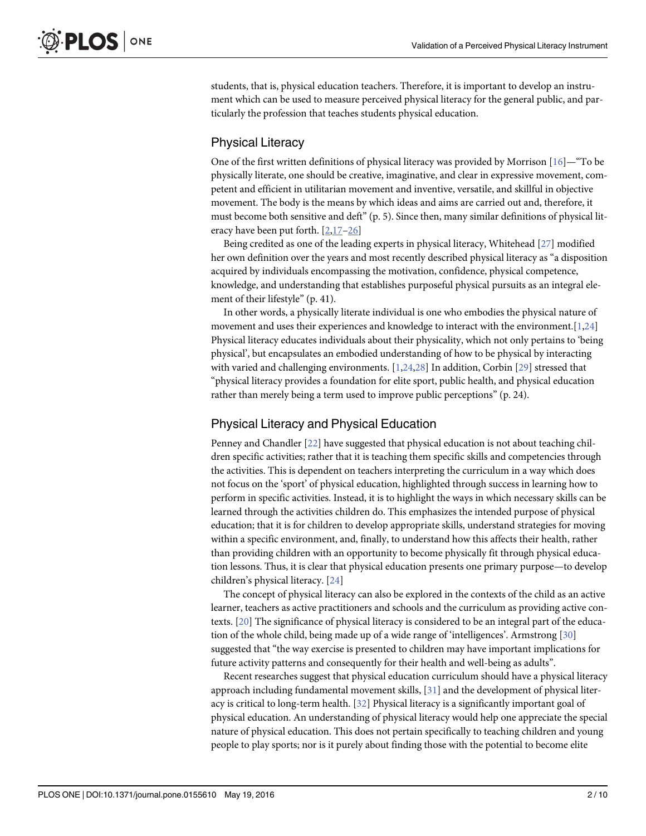<span id="page-1-0"></span>students, that is, physical education teachers. Therefore, it is important to develop an instrument which can be used to measure perceived physical literacy for the general public, and particularly the profession that teaches students physical education.

# Physical Literacy

One of the first written definitions of physical literacy was provided by Morrison  $[16]$  $[16]$ —"To be physically literate, one should be creative, imaginative, and clear in expressive movement, competent and efficient in utilitarian movement and inventive, versatile, and skillful in objective movement. The body is the means by which ideas and aims are carried out and, therefore, it must become both sensitive and deft" (p. 5). Since then, many similar definitions of physical literacy have been put forth. [\[2](#page-7-0)[,17](#page-8-0)–[26](#page-8-0)]

Being credited as one of the leading experts in physical literacy, Whitehead [[27](#page-8-0)] modified her own definition over the years and most recently described physical literacy as "a disposition acquired by individuals encompassing the motivation, confidence, physical competence, knowledge, and understanding that establishes purposeful physical pursuits as an integral element of their lifestyle" (p. 41).

In other words, a physically literate individual is one who embodies the physical nature of movement and uses their experiences and knowledge to interact with the environment.  $[1,24]$  $[1,24]$ Physical literacy educates individuals about their physicality, which not only pertains to 'being physical', but encapsulates an embodied understanding of how to be physical by interacting with varied and challenging environments. [[1,](#page-7-0)[24](#page-8-0),[28](#page-8-0)] In addition, Corbin [[29](#page-8-0)] stressed that "physical literacy provides a foundation for elite sport, public health, and physical education rather than merely being a term used to improve public perceptions" (p. 24).

## Physical Literacy and Physical Education

Penney and Chandler [[22](#page-8-0)] have suggested that physical education is not about teaching children specific activities; rather that it is teaching them specific skills and competencies through the activities. This is dependent on teachers interpreting the curriculum in a way which does not focus on the 'sport' of physical education, highlighted through success in learning how to perform in specific activities. Instead, it is to highlight the ways in which necessary skills can be learned through the activities children do. This emphasizes the intended purpose of physical education; that it is for children to develop appropriate skills, understand strategies for moving within a specific environment, and, finally, to understand how this affects their health, rather than providing children with an opportunity to become physically fit through physical education lessons. Thus, it is clear that physical education presents one primary purpose—to develop children's physical literacy. [[24](#page-8-0)]

The concept of physical literacy can also be explored in the contexts of the child as an active learner, teachers as active practitioners and schools and the curriculum as providing active contexts. [\[20\]](#page-8-0) The significance of physical literacy is considered to be an integral part of the education of the whole child, being made up of a wide range of 'intelligences'. Armstrong [[30](#page-8-0)] suggested that "the way exercise is presented to children may have important implications for future activity patterns and consequently for their health and well-being as adults".

Recent researches suggest that physical education curriculum should have a physical literacy approach including fundamental movement skills, [[31\]](#page-8-0) and the development of physical literacy is critical to long-term health. [\[32\]](#page-8-0) Physical literacy is a significantly important goal of physical education. An understanding of physical literacy would help one appreciate the special nature of physical education. This does not pertain specifically to teaching children and young people to play sports; nor is it purely about finding those with the potential to become elite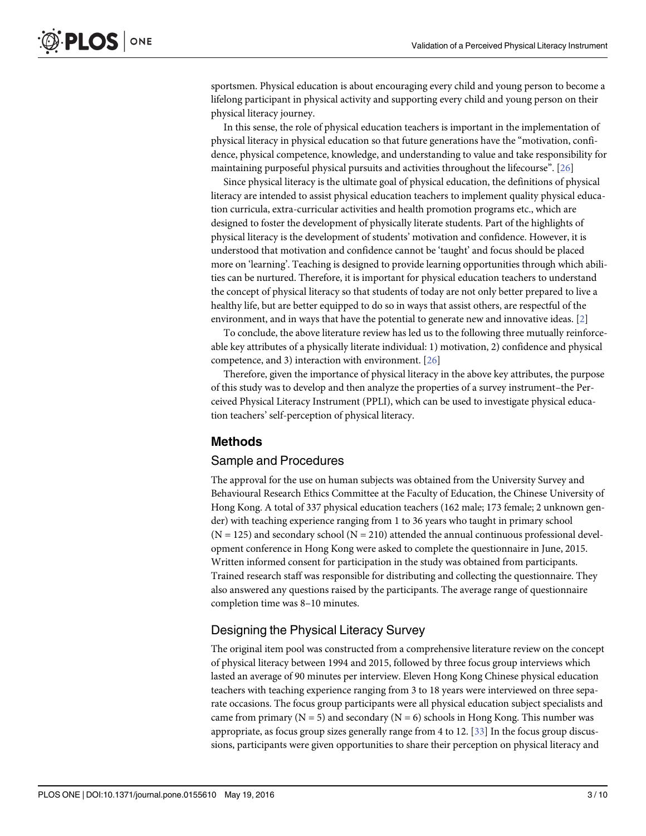<span id="page-2-0"></span>sportsmen. Physical education is about encouraging every child and young person to become a lifelong participant in physical activity and supporting every child and young person on their physical literacy journey.

In this sense, the role of physical education teachers is important in the implementation of physical literacy in physical education so that future generations have the "motivation, confidence, physical competence, knowledge, and understanding to value and take responsibility for maintaining purposeful physical pursuits and activities throughout the lifecourse". [\[26\]](#page-8-0)

Since physical literacy is the ultimate goal of physical education, the definitions of physical literacy are intended to assist physical education teachers to implement quality physical education curricula, extra-curricular activities and health promotion programs etc., which are designed to foster the development of physically literate students. Part of the highlights of physical literacy is the development of students' motivation and confidence. However, it is understood that motivation and confidence cannot be 'taught' and focus should be placed more on 'learning'. Teaching is designed to provide learning opportunities through which abilities can be nurtured. Therefore, it is important for physical education teachers to understand the concept of physical literacy so that students of today are not only better prepared to live a healthy life, but are better equipped to do so in ways that assist others, are respectful of the environment, and in ways that have the potential to generate new and innovative ideas.  $[2]$  $[2]$  $[2]$ 

To conclude, the above literature review has led us to the following three mutually reinforceable key attributes of a physically literate individual: 1) motivation, 2) confidence and physical competence, and 3) interaction with environment. [[26](#page-8-0)]

Therefore, given the importance of physical literacy in the above key attributes, the purpose of this study was to develop and then analyze the properties of a survey instrument–the Perceived Physical Literacy Instrument (PPLI), which can be used to investigate physical education teachers' self-perception of physical literacy.

#### Methods

#### Sample and Procedures

The approval for the use on human subjects was obtained from the University Survey and Behavioural Research Ethics Committee at the Faculty of Education, the Chinese University of Hong Kong. A total of 337 physical education teachers (162 male; 173 female; 2 unknown gender) with teaching experience ranging from 1 to 36 years who taught in primary school  $(N = 125)$  and secondary school  $(N = 210)$  attended the annual continuous professional development conference in Hong Kong were asked to complete the questionnaire in June, 2015. Written informed consent for participation in the study was obtained from participants. Trained research staff was responsible for distributing and collecting the questionnaire. They also answered any questions raised by the participants. The average range of questionnaire completion time was 8–10 minutes.

# Designing the Physical Literacy Survey

The original item pool was constructed from a comprehensive literature review on the concept of physical literacy between 1994 and 2015, followed by three focus group interviews which lasted an average of 90 minutes per interview. Eleven Hong Kong Chinese physical education teachers with teaching experience ranging from 3 to 18 years were interviewed on three separate occasions. The focus group participants were all physical education subject specialists and came from primary ( $N = 5$ ) and secondary ( $N = 6$ ) schools in Hong Kong. This number was appropriate, as focus group sizes generally range from 4 to 12.  $[33]$  $[33]$  $[33]$  In the focus group discussions, participants were given opportunities to share their perception on physical literacy and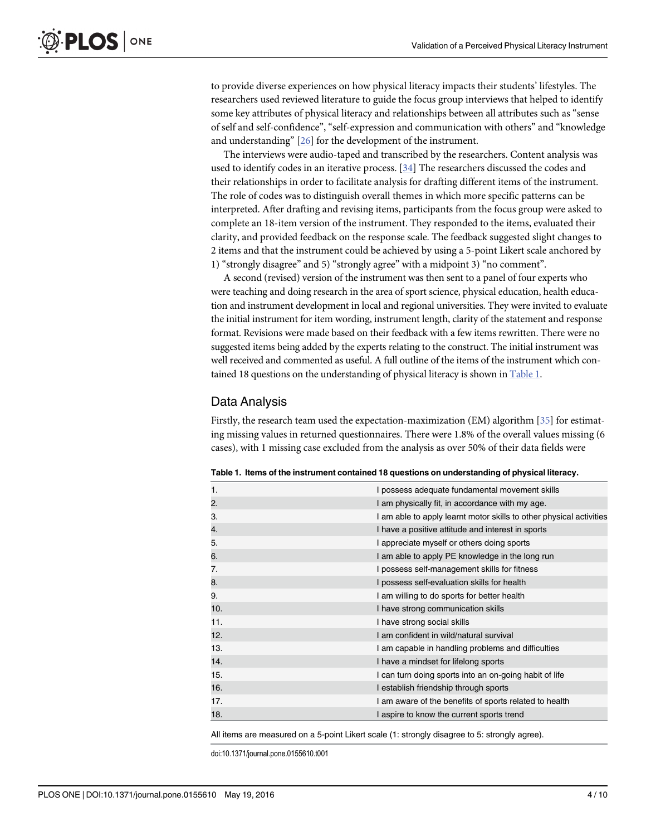<span id="page-3-0"></span>to provide diverse experiences on how physical literacy impacts their students' lifestyles. The researchers used reviewed literature to guide the focus group interviews that helped to identify some key attributes of physical literacy and relationships between all attributes such as "sense of self and self-confidence", "self-expression and communication with others" and "knowledge and understanding" [[26](#page-8-0)] for the development of the instrument.

The interviews were audio-taped and transcribed by the researchers. Content analysis was used to identify codes in an iterative process. [[34](#page-8-0)] The researchers discussed the codes and their relationships in order to facilitate analysis for drafting different items of the instrument. The role of codes was to distinguish overall themes in which more specific patterns can be interpreted. After drafting and revising items, participants from the focus group were asked to complete an 18-item version of the instrument. They responded to the items, evaluated their clarity, and provided feedback on the response scale. The feedback suggested slight changes to 2 items and that the instrument could be achieved by using a 5-point Likert scale anchored by 1) "strongly disagree" and 5) "strongly agree" with a midpoint 3) "no comment".

A second (revised) version of the instrument was then sent to a panel of four experts who were teaching and doing research in the area of sport science, physical education, health education and instrument development in local and regional universities. They were invited to evaluate the initial instrument for item wording, instrument length, clarity of the statement and response format. Revisions were made based on their feedback with a few items rewritten. There were no suggested items being added by the experts relating to the construct. The initial instrument was well received and commented as useful. A full outline of the items of the instrument which contained 18 questions on the understanding of physical literacy is shown in Table 1.

#### Data Analysis

Firstly, the research team used the expectation-maximization (EM) algorithm [[35\]](#page-8-0) for estimating missing values in returned questionnaires. There were 1.8% of the overall values missing (6 cases), with 1 missing case excluded from the analysis as over 50% of their data fields were

| 1.  | I possess adequate fundamental movement skills                      |
|-----|---------------------------------------------------------------------|
| 2.  | I am physically fit, in accordance with my age.                     |
| 3.  | I am able to apply learnt motor skills to other physical activities |
| 4.  | I have a positive attitude and interest in sports                   |
| 5.  | I appreciate myself or others doing sports                          |
| 6.  | I am able to apply PE knowledge in the long run                     |
| 7.  | I possess self-management skills for fitness                        |
| 8.  | I possess self-evaluation skills for health                         |
| 9.  | I am willing to do sports for better health                         |
| 10. | I have strong communication skills                                  |
| 11. | I have strong social skills                                         |
| 12. | I am confident in wild/natural survival                             |
| 13. | I am capable in handling problems and difficulties                  |
| 14. | I have a mindset for lifelong sports                                |
| 15. | I can turn doing sports into an on-going habit of life              |
| 16. | I establish friendship through sports                               |
| 17. | I am aware of the benefits of sports related to health              |
| 18. | I aspire to know the current sports trend                           |

Table 1. Items of the instrument contained 18 questions on understanding of physical literacy.

All items are measured on a 5-point Likert scale (1: strongly disagree to 5: strongly agree).

doi:10.1371/journal.pone.0155610.t001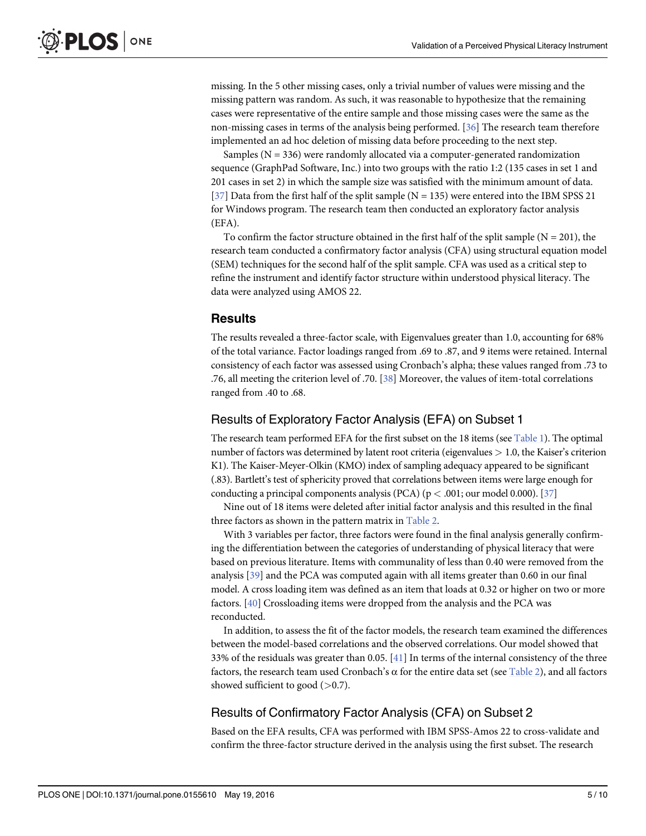<span id="page-4-0"></span>missing. In the 5 other missing cases, only a trivial number of values were missing and the missing pattern was random. As such, it was reasonable to hypothesize that the remaining cases were representative of the entire sample and those missing cases were the same as the non-missing cases in terms of the analysis being performed. [[36](#page-9-0)] The research team therefore implemented an ad hoc deletion of missing data before proceeding to the next step.

Samples ( $N = 336$ ) were randomly allocated via a computer-generated randomization sequence (GraphPad Software, Inc.) into two groups with the ratio 1:2 (135 cases in set 1 and 201 cases in set 2) in which the sample size was satisfied with the minimum amount of data. [\[37](#page-9-0)] Data from the first half of the split sample ( $N = 135$ ) were entered into the IBM SPSS 21 for Windows program. The research team then conducted an exploratory factor analysis (EFA).

To confirm the factor structure obtained in the first half of the split sample  $(N = 201)$ , the research team conducted a confirmatory factor analysis (CFA) using structural equation model (SEM) techniques for the second half of the split sample. CFA was used as a critical step to refine the instrument and identify factor structure within understood physical literacy. The data were analyzed using AMOS 22.

### **Results**

The results revealed a three-factor scale, with Eigenvalues greater than 1.0, accounting for 68% of the total variance. Factor loadings ranged from .69 to .87, and 9 items were retained. Internal consistency of each factor was assessed using Cronbach's alpha; these values ranged from .73 to .76, all meeting the criterion level of .70. [\[38\]](#page-9-0) Moreover, the values of item-total correlations ranged from .40 to .68.

# Results of Exploratory Factor Analysis (EFA) on Subset 1

The research team performed EFA for the first subset on the 18 items (see [Table 1\)](#page-3-0). The optimal number of factors was determined by latent root criteria (eigenvalues > 1.0, the Kaiser's criterion K1). The Kaiser-Meyer-Olkin (KMO) index of sampling adequacy appeared to be significant (.83). Bartlett's test of sphericity proved that correlations between items were large enough for conducting a principal components analysis (PCA) ( $p < .001$ ; our model 0.000). [[37](#page-9-0)]

Nine out of 18 items were deleted after initial factor analysis and this resulted in the final three factors as shown in the pattern matrix in [Table 2](#page-5-0).

With 3 variables per factor, three factors were found in the final analysis generally confirming the differentiation between the categories of understanding of physical literacy that were based on previous literature. Items with communality of less than 0.40 were removed from the analysis [[39](#page-9-0)] and the PCA was computed again with all items greater than 0.60 in our final model. A cross loading item was defined as an item that loads at 0.32 or higher on two or more factors. [[40](#page-9-0)] Crossloading items were dropped from the analysis and the PCA was reconducted.

In addition, to assess the fit of the factor models, the research team examined the differences between the model-based correlations and the observed correlations. Our model showed that 33% of the residuals was greater than 0.05. [[41\]](#page-9-0) In terms of the internal consistency of the three factors, the research team used Cronbach's α for the entire data set (see [Table 2\)](#page-5-0), and all factors showed sufficient to good  $(>0.7)$ .

# Results of Confirmatory Factor Analysis (CFA) on Subset 2

Based on the EFA results, CFA was performed with IBM SPSS-Amos 22 to cross-validate and confirm the three-factor structure derived in the analysis using the first subset. The research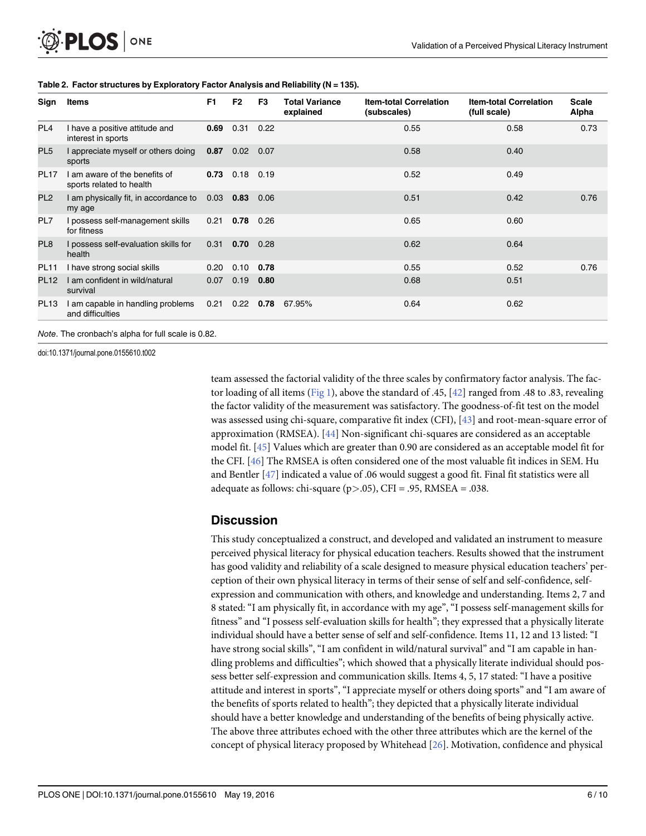<span id="page-5-0"></span>

| Sign            | Items                                                     | F <sub>1</sub> | F <sub>2</sub>   | F3          | <b>Total Variance</b><br>explained | <b>Item-total Correlation</b><br>(subscales) | <b>Item-total Correlation</b><br>(full scale) | <b>Scale</b><br>Alpha |
|-----------------|-----------------------------------------------------------|----------------|------------------|-------------|------------------------------------|----------------------------------------------|-----------------------------------------------|-----------------------|
| PL <sub>4</sub> | I have a positive attitude and<br>interest in sports      |                | 0.69 0.31 0.22   |             |                                    | 0.55                                         | 0.58                                          | 0.73                  |
| PL <sub>5</sub> | I appreciate myself or others doing<br>sports             |                | $0.87$ 0.02 0.07 |             |                                    | 0.58                                         | 0.40                                          |                       |
| <b>PL17</b>     | I am aware of the benefits of<br>sports related to health |                | $0.73$ 0.18 0.19 |             |                                    | 0.52                                         | 0.49                                          |                       |
| PL <sub>2</sub> | I am physically fit, in accordance to<br>my age           | $0.03$ 0.83    |                  | 0.06        |                                    | 0.51                                         | 0.42                                          | 0.76                  |
| PL7             | I possess self-management skills<br>for fitness           |                | $0.21$ 0.78 0.26 |             |                                    | 0.65                                         | 0.60                                          |                       |
| PL8             | I possess self-evaluation skills for<br>health            |                | $0.31$ 0.70 0.28 |             |                                    | 0.62                                         | 0.64                                          |                       |
| <b>PL11</b>     | I have strong social skills                               | 0.20           | 0.10             | 0.78        |                                    | 0.55                                         | 0.52                                          | 0.76                  |
| <b>PL12</b>     | I am confident in wild/natural<br>survival                | 0.07           | 0.19             | 0.80        |                                    | 0.68                                         | 0.51                                          |                       |
| <b>PL13</b>     | I am capable in handling problems<br>and difficulties     | 0.21           |                  | $0.22$ 0.78 | 67.95%                             | 0.64                                         | 0.62                                          |                       |

#### [Table 2.](#page-4-0) Factor structures by Exploratory Factor Analysis and Reliability (N = 135).

doi:10.1371/journal.pone.0155610.t002

team assessed the factorial validity of the three scales by confirmatory factor analysis. The fac-tor loading of all items ([Fig 1](#page-6-0)), above the standard of .45, [[42](#page-9-0)] ranged from .48 to .83, revealing the factor validity of the measurement was satisfactory. The goodness-of-fit test on the model was assessed using chi-square, comparative fit index (CFI), [[43\]](#page-9-0) and root-mean-square error of approximation (RMSEA). [\[44](#page-9-0)] Non-significant chi-squares are considered as an acceptable model fit. [[45](#page-9-0)] Values which are greater than 0.90 are considered as an acceptable model fit for the CFI. [[46](#page-9-0)] The RMSEA is often considered one of the most valuable fit indices in SEM. Hu and Bentler [[47](#page-9-0)] indicated a value of .06 would suggest a good fit. Final fit statistics were all adequate as follows: chi-square  $(p>0.05)$ , CFI = .95, RMSEA = .038.

# **Discussion**

This study conceptualized a construct, and developed and validated an instrument to measure perceived physical literacy for physical education teachers. Results showed that the instrument has good validity and reliability of a scale designed to measure physical education teachers' perception of their own physical literacy in terms of their sense of self and self-confidence, selfexpression and communication with others, and knowledge and understanding. Items 2, 7 and 8 stated: "I am physically fit, in accordance with my age", "I possess self-management skills for fitness" and "I possess self-evaluation skills for health"; they expressed that a physically literate individual should have a better sense of self and self-confidence. Items 11, 12 and 13 listed: "I have strong social skills", "I am confident in wild/natural survival" and "I am capable in handling problems and difficulties"; which showed that a physically literate individual should possess better self-expression and communication skills. Items 4, 5, 17 stated: "I have a positive attitude and interest in sports", "I appreciate myself or others doing sports" and "I am aware of the benefits of sports related to health"; they depicted that a physically literate individual should have a better knowledge and understanding of the benefits of being physically active. The above three attributes echoed with the other three attributes which are the kernel of the concept of physical literacy proposed by Whitehead [\[26\]](#page-8-0). Motivation, confidence and physical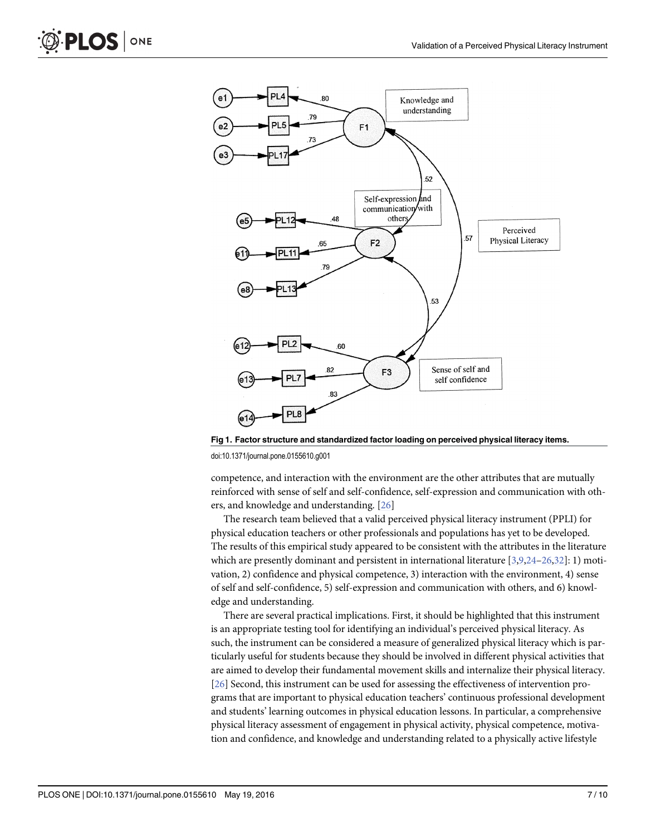

[Fig 1. F](#page-5-0)actor structure and standardized factor loading on perceived physical literacy items.

doi:10.1371/journal.pone.0155610.g001

competence, and interaction with the environment are the other attributes that are mutually reinforced with sense of self and self-confidence, self-expression and communication with others, and knowledge and understanding. [\[26\]](#page-8-0)

The research team believed that a valid perceived physical literacy instrument (PPLI) for physical education teachers or other professionals and populations has yet to be developed. The results of this empirical study appeared to be consistent with the attributes in the literature which are presently dominant and persistent in international literature [[3,](#page-7-0)[9,24](#page-8-0)–[26,32\]](#page-8-0): 1) motivation, 2) confidence and physical competence, 3) interaction with the environment, 4) sense of self and self-confidence, 5) self-expression and communication with others, and 6) knowledge and understanding.

There are several practical implications. First, it should be highlighted that this instrument is an appropriate testing tool for identifying an individual's perceived physical literacy. As such, the instrument can be considered a measure of generalized physical literacy which is particularly useful for students because they should be involved in different physical activities that are aimed to develop their fundamental movement skills and internalize their physical literacy. [\[26](#page-8-0)] Second, this instrument can be used for assessing the effectiveness of intervention programs that are important to physical education teachers' continuous professional development and students' learning outcomes in physical education lessons. In particular, a comprehensive physical literacy assessment of engagement in physical activity, physical competence, motivation and confidence, and knowledge and understanding related to a physically active lifestyle

<span id="page-6-0"></span>**PLOS** 

ONE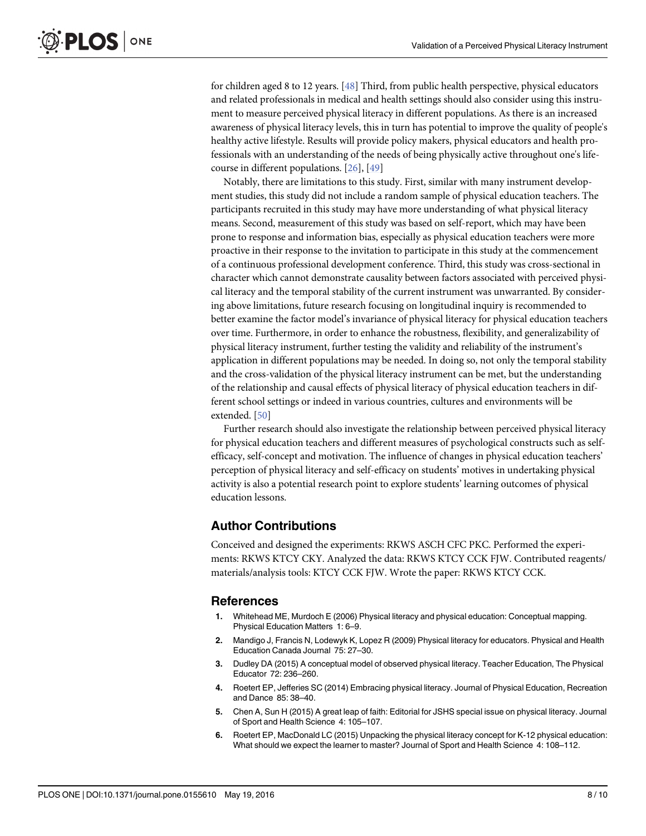<span id="page-7-0"></span>for children aged 8 to 12 years. [[48](#page-9-0)] Third, from public health perspective, physical educators and related professionals in medical and health settings should also consider using this instrument to measure perceived physical literacy in different populations. As there is an increased awareness of physical literacy levels, this in turn has potential to improve the quality of people's healthy active lifestyle. Results will provide policy makers, physical educators and health professionals with an understanding of the needs of being physically active throughout one's lifecourse in different populations. [[26](#page-8-0)], [[49](#page-9-0)]

Notably, there are limitations to this study. First, similar with many instrument development studies, this study did not include a random sample of physical education teachers. The participants recruited in this study may have more understanding of what physical literacy means. Second, measurement of this study was based on self-report, which may have been prone to response and information bias, especially as physical education teachers were more proactive in their response to the invitation to participate in this study at the commencement of a continuous professional development conference. Third, this study was cross-sectional in character which cannot demonstrate causality between factors associated with perceived physical literacy and the temporal stability of the current instrument was unwarranted. By considering above limitations, future research focusing on longitudinal inquiry is recommended to better examine the factor model's invariance of physical literacy for physical education teachers over time. Furthermore, in order to enhance the robustness, flexibility, and generalizability of physical literacy instrument, further testing the validity and reliability of the instrument's application in different populations may be needed. In doing so, not only the temporal stability and the cross-validation of the physical literacy instrument can be met, but the understanding of the relationship and causal effects of physical literacy of physical education teachers in different school settings or indeed in various countries, cultures and environments will be extended. [[50](#page-9-0)]

Further research should also investigate the relationship between perceived physical literacy for physical education teachers and different measures of psychological constructs such as selfefficacy, self-concept and motivation. The influence of changes in physical education teachers' perception of physical literacy and self-efficacy on students' motives in undertaking physical activity is also a potential research point to explore students' learning outcomes of physical education lessons.

# Author Contributions

Conceived and designed the experiments: RKWS ASCH CFC PKC. Performed the experiments: RKWS KTCY CKY. Analyzed the data: RKWS KTCY CCK FJW. Contributed reagents/ materials/analysis tools: KTCY CCK FJW. Wrote the paper: RKWS KTCY CCK.

# References

- [1.](#page-0-0) Whitehead ME, Murdoch E (2006) Physical literacy and physical education: Conceptual mapping. Physical Education Matters 1: 6–9.
- [2.](#page-1-0) Mandigo J, Francis N, Lodewyk K, Lopez R (2009) Physical literacy for educators. Physical and Health Education Canada Journal 75: 27–30.
- [3.](#page-0-0) Dudley DA (2015) A conceptual model of observed physical literacy. Teacher Education, The Physical Educator 72: 236–260.
- [4.](#page-0-0) Roetert EP, Jefferies SC (2014) Embracing physical literacy. Journal of Physical Education, Recreation and Dance 85: 38–40.
- [5.](#page-0-0) Chen A, Sun H (2015) A great leap of faith: Editorial for JSHS special issue on physical literacy. Journal of Sport and Health Science 4: 105–107.
- 6. Roetert EP, MacDonald LC (2015) Unpacking the physical literacy concept for K-12 physical education: What should we expect the learner to master? Journal of Sport and Health Science 4: 108–112.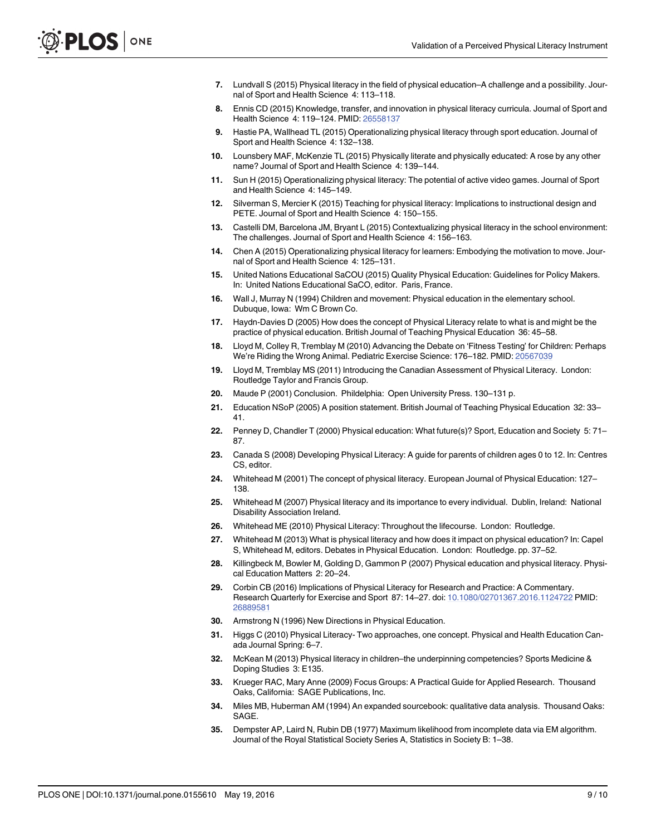- <span id="page-8-0"></span>7. Lundvall S (2015) Physical literacy in the field of physical education–A challenge and a possibility. Journal of Sport and Health Science 4: 113–118.
- 8. Ennis CD (2015) Knowledge, transfer, and innovation in physical literacy curricula. Journal of Sport and Health Science 4: 119–124. PMID: [26558137](http://www.ncbi.nlm.nih.gov/pubmed/26558137)
- [9.](#page-6-0) Hastie PA, Wallhead TL (2015) Operationalizing physical literacy through sport education. Journal of Sport and Health Science 4: 132–138.
- 10. Lounsbery MAF, McKenzie TL (2015) Physically literate and physically educated: A rose by any other name? Journal of Sport and Health Science 4: 139–144.
- 11. Sun H (2015) Operationalizing physical literacy: The potential of active video games. Journal of Sport and Health Science 4: 145–149.
- 12. Silverman S, Mercier K (2015) Teaching for physical literacy: Implications to instructional design and PETE. Journal of Sport and Health Science 4: 150–155.
- 13. Castelli DM, Barcelona JM, Bryant L (2015) Contextualizing physical literacy in the school environment: The challenges. Journal of Sport and Health Science 4: 156–163.
- [14.](#page-0-0) Chen A (2015) Operationalizing physical literacy for learners: Embodying the motivation to move. Journal of Sport and Health Science 4: 125–131.
- [15.](#page-0-0) United Nations Educational SaCOU (2015) Quality Physical Education: Guidelines for Policy Makers. In: United Nations Educational SaCO, editor. Paris, France.
- [16.](#page-1-0) Wall J, Murray N (1994) Children and movement: Physical education in the elementary school. Dubuque, Iowa: Wm C Brown Co.
- [17.](#page-1-0) Haydn-Davies D (2005) How does the concept of Physical Literacy relate to what is and might be the practice of physical education. British Journal of Teaching Physical Education 36: 45–58.
- 18. Lloyd M, Colley R, Tremblay M (2010) Advancing the Debate on 'Fitness Testing' for Children: Perhaps We're Riding the Wrong Animal. Pediatric Exercise Science: 176–182. PMID: [20567039](http://www.ncbi.nlm.nih.gov/pubmed/20567039)
- 19. Lloyd M, Tremblay MS (2011) Introducing the Canadian Assessment of Physical Literacy. London: Routledge Taylor and Francis Group.
- [20.](#page-1-0) Maude P (2001) Conclusion. Phildelphia: Open University Press. 130–131 p.
- 21. Education NSoP (2005) A position statement. British Journal of Teaching Physical Education 32: 33– 41.
- [22.](#page-1-0) Penney D, Chandler T (2000) Physical education: What future(s)? Sport, Education and Society 5: 71– 87.
- 23. Canada S (2008) Developing Physical Literacy: A guide for parents of children ages 0 to 12. In: Centres CS, editor.
- [24.](#page-1-0) Whitehead M (2001) The concept of physical literacy. European Journal of Physical Education: 127– 138.
- 25. Whitehead M (2007) Physical literacy and its importance to every individual. Dublin, Ireland: National Disability Association Ireland.
- [26.](#page-1-0) Whitehead ME (2010) Physical Literacy: Throughout the lifecourse. London: Routledge.
- [27.](#page-1-0) Whitehead M (2013) What is physical literacy and how does it impact on physical education? In: Capel S, Whitehead M, editors. Debates in Physical Education. London: Routledge. pp. 37–52.
- [28.](#page-1-0) Killingbeck M, Bowler M, Golding D, Gammon P (2007) Physical education and physical literacy. Physical Education Matters 2: 20–24.
- [29.](#page-1-0) Corbin CB (2016) Implications of Physical Literacy for Research and Practice: A Commentary. Research Quarterly for Exercise and Sport 87: 14–27. doi: [10.1080/02701367.2016.1124722](http://dx.doi.org/10.1080/02701367.2016.1124722) PMID: [26889581](http://www.ncbi.nlm.nih.gov/pubmed/26889581)
- [30.](#page-1-0) Armstrong N (1996) New Directions in Physical Education.
- [31.](#page-1-0) Higgs C (2010) Physical Literacy- Two approaches, one concept. Physical and Health Education Canada Journal Spring: 6–7.
- [32.](#page-1-0) McKean M (2013) Physical literacy in children–the underpinning competencies? Sports Medicine & Doping Studies 3: E135.
- [33.](#page-2-0) Krueger RAC, Mary Anne (2009) Focus Groups: A Practical Guide for Applied Research. Thousand Oaks, California: SAGE Publications, Inc.
- [34.](#page-3-0) Miles MB, Huberman AM (1994) An expanded sourcebook: qualitative data analysis. Thousand Oaks: SAGE.
- [35.](#page-3-0) Dempster AP, Laird N, Rubin DB (1977) Maximum likelihood from incomplete data via EM algorithm. Journal of the Royal Statistical Society Series A, Statistics in Society B: 1–38.